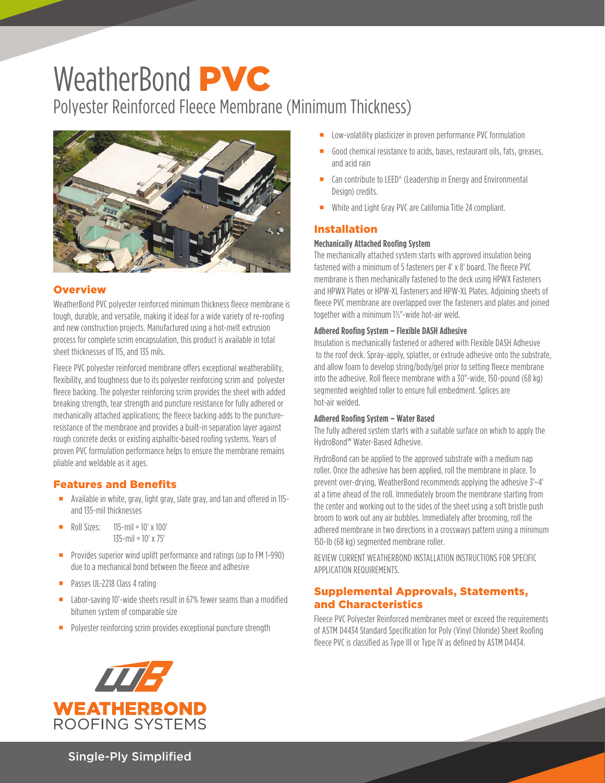# WeatherBond **PVC**

Polyester Reinforced Fleece Membrane (Minimum Thickness)



## **Overview**

WeatherBond PVC polyester reinforced minimum thickness fleece membrane is tough, durable, and versatile, making it ideal for a wide variety of re-roofing and new construction projects. Manufactured using a hot-melt extrusion process for complete scrim encapsulation, this product is available in total sheet thicknesses of 115, and 135 mils.

Fleece PVC polyester reinforced membrane offers exceptional weatherability, flexibility, and toughness due to its polyester reinforcing scrim and polyester fleece backing. The polyester reinforcing scrim provides the sheet with added breaking strength, tear strength and puncture resistance for fully adhered or mechanically attached applications; the fleece backing adds to the punctureresistance of the membrane and provides a built-in separation layer against rough concrete decks or existing asphaltic-based roofing systems. Years of proven PVC formulation performance helps to ensure the membrane remains pliable and weldable as it ages.

## Features and Benefits

- Available in white, gray, light gray, slate gray, and tan and offered in 115 and 135-mil thicknesses
- $\blacksquare$  Roll Sizes: 115-mil = 10' x 100' 135-mil = 10' x 75'
- **Provides superior wind uplift performance and ratings (up to FM 1-990)** due to a mechanical bond between the fleece and adhesive
- **Passes UL-2218 Class 4 rating**
- Labor-saving 10'-wide sheets result in 67% fewer seams than a modified bitumen system of comparable size
- **Polyester reinforcing scrim provides exceptional puncture strength**
- Low-volatility plasticizer in proven performance PVC formulation
- Good chemical resistance to acids, bases, restaurant oils, fats, greases, and acid rain
- Can contribute to LEED® (Leadership in Energy and Environmental Design) credits.
- White and Light Gray PVC are California Title 24 compliant.

## Installation

#### **Mechanically Attached Roofing System**

The mechanically attached system starts with approved insulation being fastened with a minimum of 5 fasteners per 4' x 8' board. The fleece PVC membrane is then mechanically fastened to the deck using HPWX Fasteners and HPWX Plates or HPW-XL Fasteners and HPW-XL Plates. Adjoining sheets of fleece PVC membrane are overlapped over the fasteners and plates and joined together with a minimum 1½"-wide hot-air weld.

#### **Adhered Roofing System – Flexible DASH Adhesive**

Insulation is mechanically fastened or adhered with Flexible DASH Adhesive to the roof deck. Spray-apply, splatter, or extrude adhesive onto the substrate, and allow foam to develop string/body/gel prior to setting fleece membrane into the adhesive. Roll fleece membrane with a 30"-wide, 150-pound (68 kg) segmented weighted roller to ensure full embedment. Splices are hot-air welded.

#### **Adhered Roofing System – Water Based**

The fully adhered system starts with a suitable surface on which to apply the HydroBond™ Water-Based Adhesive.

HydroBond can be applied to the approved substrate with a medium nap roller. Once the adhesive has been applied, roll the membrane in place. To prevent over-drying, WeatherBond recommends applying the adhesive 3'–4' at a time ahead of the roll. Immediately broom the membrane starting from the center and working out to the sides of the sheet using a soft bristle push broom to work out any air bubbles. Immediately after brooming, roll the adhered membrane in two directions in a crossways pattern using a minimum 150-lb (68 kg) segmented membrane roller.

REVIEW CURRENT WEATHERBOND INSTALLATION INSTRUCTIONS FOR SPECIFIC APPLICATION REQUIREMENTS.

## Supplemental Approvals, Statements, and Characteristics

Fleece PVC Polyester Reinforced membranes meet or exceed the requirements of ASTM D4434 Standard Specification for Poly (Vinyl Chloride) Sheet Roofing fleece PVC is classified as Type III or Type IV as defined by ASTM D4434.



Single-Ply Simplified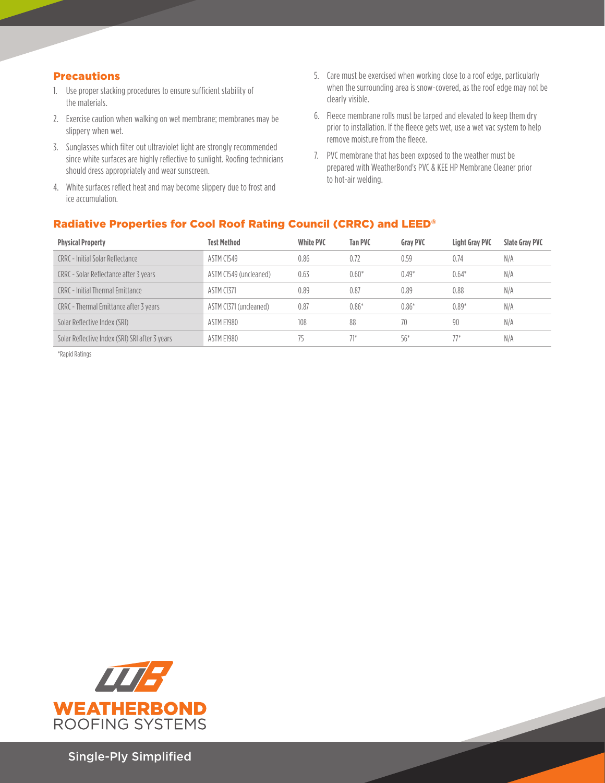## Precautions

- 1. Use proper stacking procedures to ensure sufficient stability of the materials.
- 2. Exercise caution when walking on wet membrane; membranes may be slippery when wet.
- 3. Sunglasses which filter out ultraviolet light are strongly recommended since white surfaces are highly reflective to sunlight. Roofing technicians should dress appropriately and wear sunscreen.
- 4. White surfaces reflect heat and may become slippery due to frost and ice accumulation.
- 5. Care must be exercised when working close to a roof edge, particularly when the surrounding area is snow-covered, as the roof edge may not be clearly visible.
- 6. Fleece membrane rolls must be tarped and elevated to keep them dry prior to installation. If the fleece gets wet, use a wet vac system to help remove moisture from the fleece.
- 7. PVC membrane that has been exposed to the weather must be prepared with WeatherBond's PVC & KEE HP Membrane Cleaner prior to hot-air welding.

# Radiative Properties for Cool Roof Rating Council (CRRC) and LEED®

| <b>Physical Property</b>                       | <b>Test Method</b>     | <b>White PVC</b> | <b>Tan PVC</b> | <b>Grav PVC</b> | <b>Light Grav PVC</b> | <b>Slate Grav PVC</b> |
|------------------------------------------------|------------------------|------------------|----------------|-----------------|-----------------------|-----------------------|
| CRRC - Initial Solar Reflectance               | ASTM C1549             | 0.86             | 0.72           | 0.59            | 0.74                  | N/A                   |
| CRRC - Solar Reflectance after 3 years         | ASTM C1549 (uncleaned) | 0.63             | $0.60*$        | $0.49*$         | $0.64*$               | N/A                   |
| CRRC - Initial Thermal Emittance               | <b>ASTM C1371</b>      | 0.89             | 0.87           | 0.89            | 0.88                  | N/A                   |
| CRRC - Thermal Emittance after 3 years         | ASTM C1371 (uncleaned) | 0.87             | $0.86*$        | $0.86*$         | $0.89*$               | N/A                   |
| Solar Reflective Index (SRI)                   | ASTM E1980             | 108              | 88             | 70              | 90                    | N/A                   |
| Solar Reflective Index (SRI) SRI after 3 years | ASTM E1980             | 75               | $71*$          | $56*$           | $77*$                 | N/A                   |
|                                                |                        |                  |                |                 |                       |                       |

\*Rapid Ratings



Single-Ply Simplified